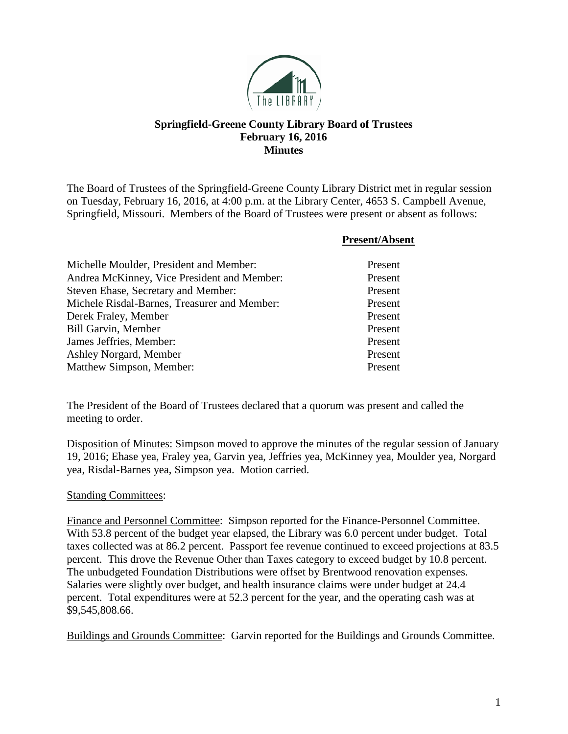

## **Springfield-Greene County Library Board of Trustees February 16, 2016 Minutes**

The Board of Trustees of the Springfield-Greene County Library District met in regular session on Tuesday, February 16, 2016, at 4:00 p.m. at the Library Center, 4653 S. Campbell Avenue, Springfield, Missouri. Members of the Board of Trustees were present or absent as follows:

|                                              | <b>Present/Absent</b> |
|----------------------------------------------|-----------------------|
| Michelle Moulder, President and Member:      | Present               |
| Andrea McKinney, Vice President and Member:  | Present               |
| Steven Ehase, Secretary and Member:          | Present               |
| Michele Risdal-Barnes, Treasurer and Member: | Present               |
| Derek Fraley, Member                         | Present               |
| <b>Bill Garvin, Member</b>                   | Present               |
| James Jeffries, Member:                      | Present               |
| Ashley Norgard, Member                       | Present               |
| Matthew Simpson, Member:                     | Present               |

The President of the Board of Trustees declared that a quorum was present and called the meeting to order.

Disposition of Minutes: Simpson moved to approve the minutes of the regular session of January 19, 2016; Ehase yea, Fraley yea, Garvin yea, Jeffries yea, McKinney yea, Moulder yea, Norgard yea, Risdal-Barnes yea, Simpson yea. Motion carried.

## Standing Committees:

Finance and Personnel Committee: Simpson reported for the Finance-Personnel Committee. With 53.8 percent of the budget year elapsed, the Library was 6.0 percent under budget. Total taxes collected was at 86.2 percent. Passport fee revenue continued to exceed projections at 83.5 percent. This drove the Revenue Other than Taxes category to exceed budget by 10.8 percent. The unbudgeted Foundation Distributions were offset by Brentwood renovation expenses. Salaries were slightly over budget, and health insurance claims were under budget at 24.4 percent. Total expenditures were at 52.3 percent for the year, and the operating cash was at \$9,545,808.66.

Buildings and Grounds Committee: Garvin reported for the Buildings and Grounds Committee.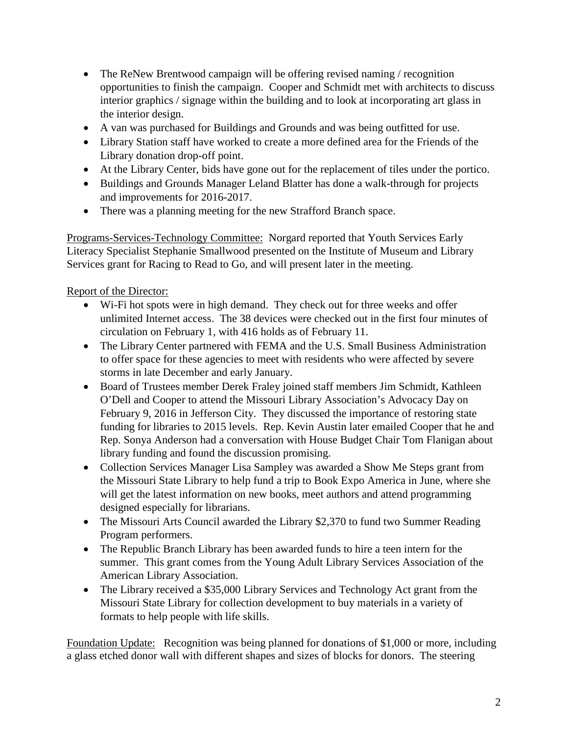- The ReNew Brentwood campaign will be offering revised naming / recognition opportunities to finish the campaign. Cooper and Schmidt met with architects to discuss interior graphics / signage within the building and to look at incorporating art glass in the interior design.
- A van was purchased for Buildings and Grounds and was being outfitted for use.
- Library Station staff have worked to create a more defined area for the Friends of the Library donation drop-off point.
- At the Library Center, bids have gone out for the replacement of tiles under the portico.
- Buildings and Grounds Manager Leland Blatter has done a walk-through for projects and improvements for 2016-2017.
- There was a planning meeting for the new Strafford Branch space.

Programs-Services-Technology Committee: Norgard reported that Youth Services Early Literacy Specialist Stephanie Smallwood presented on the Institute of Museum and Library Services grant for Racing to Read to Go, and will present later in the meeting.

## Report of the Director:

- Wi-Fi hot spots were in high demand. They check out for three weeks and offer unlimited Internet access. The 38 devices were checked out in the first four minutes of circulation on February 1, with 416 holds as of February 11.
- The Library Center partnered with FEMA and the U.S. Small Business Administration to offer space for these agencies to meet with residents who were affected by severe storms in late December and early January.
- Board of Trustees member Derek Fraley joined staff members Jim Schmidt, Kathleen O'Dell and Cooper to attend the Missouri Library Association's Advocacy Day on February 9, 2016 in Jefferson City. They discussed the importance of restoring state funding for libraries to 2015 levels. Rep. Kevin Austin later emailed Cooper that he and Rep. Sonya Anderson had a conversation with House Budget Chair Tom Flanigan about library funding and found the discussion promising.
- Collection Services Manager Lisa Sampley was awarded a Show Me Steps grant from the Missouri State Library to help fund a trip to Book Expo America in June, where she will get the latest information on new books, meet authors and attend programming designed especially for librarians.
- The Missouri Arts Council awarded the Library \$2,370 to fund two Summer Reading Program performers.
- The Republic Branch Library has been awarded funds to hire a teen intern for the summer. This grant comes from the Young Adult Library Services Association of the American Library Association.
- The Library received a \$35,000 Library Services and Technology Act grant from the Missouri State Library for collection development to buy materials in a variety of formats to help people with life skills.

Foundation Update: Recognition was being planned for donations of \$1,000 or more, including a glass etched donor wall with different shapes and sizes of blocks for donors. The steering